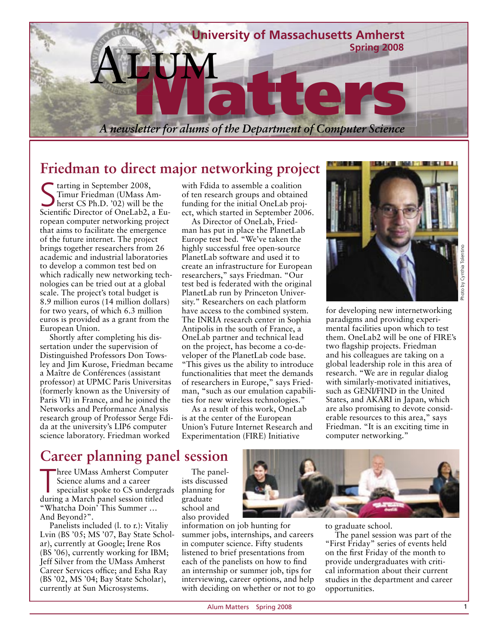

## **Friedman to direct major networking project**

Starting in September 2008,<br>Timur Friedman (UMass A)<br>Ssiontific Circator of Opel ab Timur Friedman (UMass Amherst CS Ph.D. '02) will be the Scientific Director of OneLab2, a European computer networking project that aims to facilitate the emergence of the future internet. The project brings together researchers from 26 academic and industrial laboratories to develop a common test bed on which radically new networking technologies can be tried out at a global scale. The project's total budget is 8.9 million euros (14 million dollars) for two years, of which 6.3 million euros is provided as a grant from the European Union.

Shortly after completing his dissertation under the supervision of Distinguished Professors Don Towsley and Jim Kurose, Friedman became a Maître de Conférences (assistant professor) at UPMC Paris Universitas (formerly known as the University of Paris VI) in France, and he joined the Networks and Performance Analysis research group of Professor Serge Fdida at the university's LIP6 computer science laboratory. Friedman worked

with Fdida to assemble a coalition of ten research groups and obtained funding for the initial OneLab project, which started in September 2006.

As Director of OneLab, Friedman has put in place the PlanetLab Europe test bed. "We've taken the highly successful free open-source PlanetLab software and used it to create an infrastructure for European researchers," says Friedman. "Our test bed is federated with the original PlanetLab run by Princeton University." Researchers on each platform have access to the combined system. The INRIA research center in Sophia Antipolis in the south of France, a OneLab partner and technical lead on the project, has become a co-developer of the PlanetLab code base. "This gives us the ability to introduce functionalities that meet the demands of researchers in Europe," says Friedman, "such as our emulation capabilities for new wireless technologies."

As a result of this work, OneLab is at the center of the European Union's Future Internet Research and Experimentation (FIRE) Initiative



for developing new internetworking paradigms and providing experimental facilities upon which to test them. OneLab2 will be one of FIRE's two flagship projects. Friedman and his colleagues are taking on a global leadership role in this area of research. "We are in regular dialog with similarly-motivated initiatives, such as GENI/FIND in the United States, and AKARI in Japan, which are also promising to devote considerable resources to this area," says Friedman. "It is an exciting time in computer networking."

# **Career planning panel session**

Three UMass Amherst Compute<br>
Science alums and a career<br>
specialist spoke to CS undergra<br>
during a March panel session titled hree UMass Amherst Computer Science alums and a career specialist spoke to CS undergrads "Whatcha Doin' This Summer … And Beyond?".

Panelists included (l. to r.): Vitaliy Lvin (BS '05; MS '07, Bay State Scholar), currently at Google; Irene Ros (BS '06), currently working for IBM; Jeff Silver from the UMass Amherst Career Services office; and Esha Rav (BS '02, MS '04; Bay State Scholar), currently at Sun Microsystems.

The panelists discussed planning for graduate school and also provided

information on job hunting for summer jobs, internships, and careers in computer science. Fifty students listened to brief presentations from each of the panelists on how to find an internship or summer job, tips for interviewing, career options, and help with deciding on whether or not to go



to graduate school.

The panel session was part of the "First Friday" series of events held on the first Friday of the month to provide undergraduates with critical information about their current studies in the department and career opportunities.